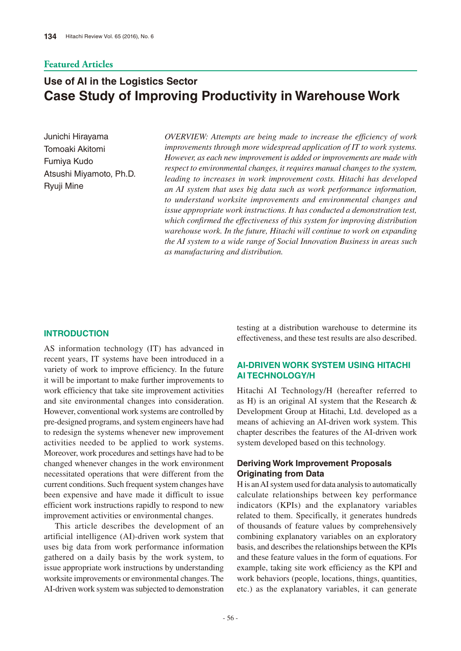# **Featured Articles**

# **Use of AI in the Logistics Sector Case Study of Improving Productivity in Warehouse Work**

Junichi Hirayama Tomoaki Akitomi Fumiya Kudo Atsushi Miyamoto, Ph.D. Ryuji Mine

*OVERVIEW: Attempts are being made to increase the efficiency of work improvements through more widespread application of IT to work systems. However, as each new improvement is added or improvements are made with respect to environmental changes, it requires manual changes to the system, leading to increases in work improvement costs. Hitachi has developed an AI system that uses big data such as work performance information, to understand worksite improvements and environmental changes and issue appropriate work instructions. It has conducted a demonstration test, which confirmed the effectiveness of this system for improving distribution warehouse work. In the future, Hitachi will continue to work on expanding the AI system to a wide range of Social Innovation Business in areas such as manufacturing and distribution.*

## **INTRODUCTION**

AS information technology (IT) has advanced in recent years, IT systems have been introduced in a variety of work to improve efficiency. In the future it will be important to make further improvements to work efficiency that take site improvement activities and site environmental changes into consideration. However, conventional work systems are controlled by pre-designed programs, and system engineers have had to redesign the systems whenever new improvement activities needed to be applied to work systems. Moreover, work procedures and settings have had to be changed whenever changes in the work environment necessitated operations that were different from the current conditions. Such frequent system changes have been expensive and have made it difficult to issue efficient work instructions rapidly to respond to new improvement activities or environmental changes.

This article describes the development of an artificial intelligence (AI)-driven work system that uses big data from work performance information gathered on a daily basis by the work system, to issue appropriate work instructions by understanding worksite improvements or environmental changes. The AI-driven work system was subjected to demonstration

testing at a distribution warehouse to determine its effectiveness, and these test results are also described.

# **AI-DRIVEN WORK SYSTEM USING HITACHI AI TECHNOLOGY/H**

Hitachi AI Technology/H (hereafter referred to as H) is an original AI system that the Research & Development Group at Hitachi, Ltd. developed as a means of achieving an AI-driven work system. This chapter describes the features of the AI-driven work system developed based on this technology.

# **Deriving Work Improvement Proposals Originating from Data**

H is an AI system used for data analysis to automatically calculate relationships between key performance indicators (KPIs) and the explanatory variables related to them. Specifically, it generates hundreds of thousands of feature values by comprehensively combining explanatory variables on an exploratory basis, and describes the relationships between the KPIs and these feature values in the form of equations. For example, taking site work efficiency as the KPI and work behaviors (people, locations, things, quantities, etc.) as the explanatory variables, it can generate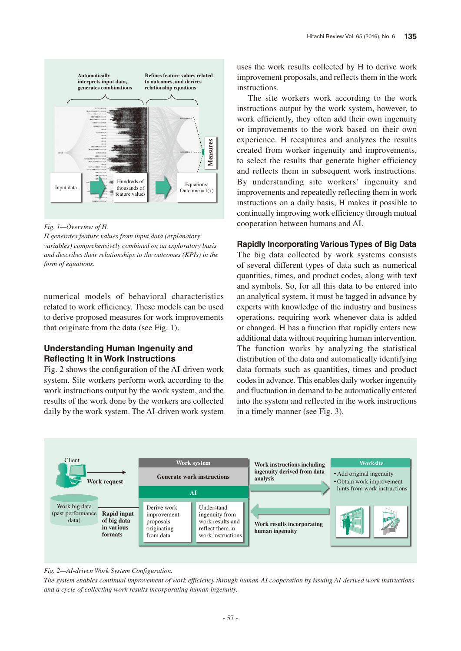

*Fig. 1—Overview of H.*

*H generates feature values from input data (explanatory variables) comprehensively combined on an exploratory basis and describes their relationships to the outcomes (KPIs) in the form of equations.*

numerical models of behavioral characteristics related to work efficiency. These models can be used to derive proposed measures for work improvements that originate from the data (see Fig. 1).

# **Understanding Human Ingenuity and Reflecting It in Work Instructions**

Fig. 2 shows the configuration of the AI-driven work system. Site workers perform work according to the work instructions output by the work system, and the results of the work done by the workers are collected daily by the work system. The AI-driven work system

uses the work results collected by H to derive work improvement proposals, and reflects them in the work instructions.

The site workers work according to the work instructions output by the work system, however, to work efficiently, they often add their own ingenuity or improvements to the work based on their own experience. H recaptures and analyzes the results created from worker ingenuity and improvements, to select the results that generate higher efficiency and reflects them in subsequent work instructions. By understanding site workers' ingenuity and improvements and repeatedly reflecting them in work instructions on a daily basis, H makes it possible to continually improving work efficiency through mutual cooperation between humans and AI.

## **Rapidly Incorporating Various Types of Big Data**

The big data collected by work systems consists of several different types of data such as numerical quantities, times, and product codes, along with text and symbols. So, for all this data to be entered into an analytical system, it must be tagged in advance by experts with knowledge of the industry and business operations, requiring work whenever data is added or changed. H has a function that rapidly enters new additional data without requiring human intervention. The function works by analyzing the statistical distribution of the data and automatically identifying data formats such as quantities, times and product codes in advance. This enables daily worker ingenuity and fluctuation in demand to be automatically entered into the system and reflected in the work instructions in a timely manner (see Fig. 3).



#### *Fig. 2—AI-driven Work System Configuration.*

*The system enables continual improvement of work efficiency through human-AI cooperation by issuing AI-derived work instructions and a cycle of collecting work results incorporating human ingenuity.*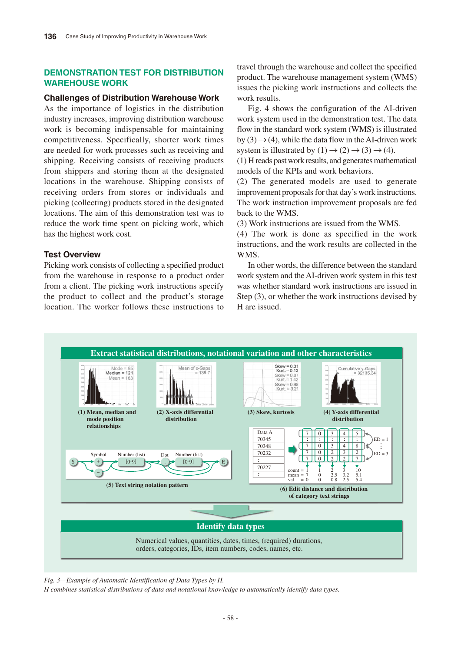# **DEMONSTRATION TEST FOR DISTRIBUTION WAREHOUSE WORK**

## **Challenges of Distribution Warehouse Work**

As the importance of logistics in the distribution industry increases, improving distribution warehouse work is becoming indispensable for maintaining competitiveness. Specifically, shorter work times are needed for work processes such as receiving and shipping. Receiving consists of receiving products from shippers and storing them at the designated locations in the warehouse. Shipping consists of receiving orders from stores or individuals and picking (collecting) products stored in the designated locations. The aim of this demonstration test was to reduce the work time spent on picking work, which has the highest work cost.

## **Test Overview**

Picking work consists of collecting a specified product from the warehouse in response to a product order from a client. The picking work instructions specify the product to collect and the product's storage location. The worker follows these instructions to

travel through the warehouse and collect the specified product. The warehouse management system (WMS) issues the picking work instructions and collects the work results.

Fig. 4 shows the configuration of the AI-driven work system used in the demonstration test. The data flow in the standard work system (WMS) is illustrated by (3)  $\rightarrow$  (4), while the data flow in the AI-driven work system is illustrated by  $(1) \rightarrow (2) \rightarrow (3) \rightarrow (4)$ .

(1) H reads past work results, and generates mathematical models of the KPIs and work behaviors.

(2) The generated models are used to generate improvement proposals for that day's work instructions. The work instruction improvement proposals are fed back to the WMS.

(3) Work instructions are issued from the WMS.

(4) The work is done as specified in the work instructions, and the work results are collected in the WMS.

In other words, the difference between the standard work system and the AI-driven work system in this test was whether standard work instructions are issued in Step (3), or whether the work instructions devised by H are issued.



*Fig. 3—Example of Automatic Identification of Data Types by H.*

*H combines statistical distributions of data and notational knowledge to automatically identify data types.*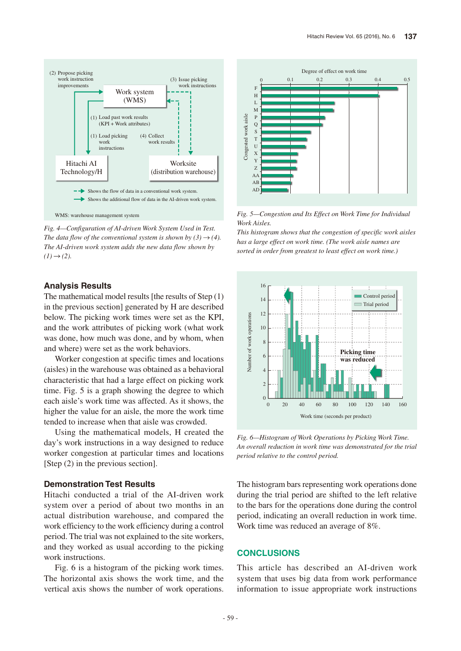

*Fig. 4—Configuration of AI-driven Work System Used in Test. The data flow of the conventional system is shown by (3)*  $\rightarrow$  *(4). The AI-driven work system adds the new data flow shown by*   $(I) \rightarrow (2)$ .

#### **Analysis Results**

The mathematical model results [the results of Step  $(1)$ ] in the previous section] generated by H are described below. The picking work times were set as the KPI, and the work attributes of picking work (what work was done, how much was done, and by whom, when and where) were set as the work behaviors.

Worker congestion at specific times and locations (aisles) in the warehouse was obtained as a behavioral characteristic that had a large effect on picking work time. Fig. 5 is a graph showing the degree to which each aisle's work time was affected. As it shows, the higher the value for an aisle, the more the work time tended to increase when that aisle was crowded.

Using the mathematical models, H created the day's work instructions in a way designed to reduce worker congestion at particular times and locations [Step (2) in the previous section].

## **Demonstration Test Results**

Hitachi conducted a trial of the AI-driven work system over a period of about two months in an actual distribution warehouse, and compared the work efficiency to the work efficiency during a control period. The trial was not explained to the site workers, and they worked as usual according to the picking work instructions.

Fig. 6 is a histogram of the picking work times. The horizontal axis shows the work time, and the vertical axis shows the number of work operations.



*Fig. 5—Congestion and Its Effect on Work Time for Individual Work Aisles.*

*This histogram shows that the congestion of specific work aisles has a large effect on work time. (The work aisle names are sorted in order from greatest to least effect on work time.)*

![](_page_3_Figure_13.jpeg)

*Fig. 6—Histogram of Work Operations by Picking Work Time. An overall reduction in work time was demonstrated for the trial period relative to the control period.*

The histogram bars representing work operations done during the trial period are shifted to the left relative to the bars for the operations done during the control period, indicating an overall reduction in work time. Work time was reduced an average of 8%.

## **CONCLUSIONS**

This article has described an AI-driven work system that uses big data from work performance information to issue appropriate work instructions